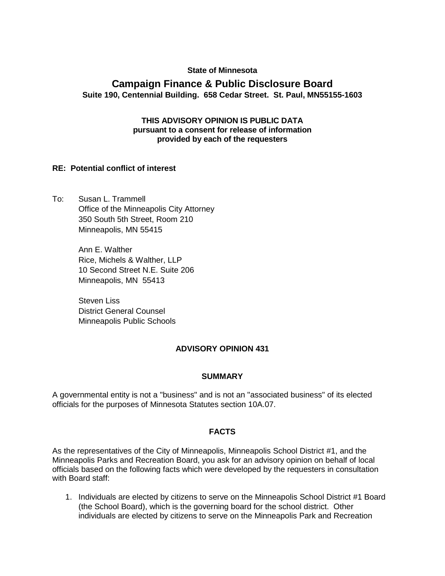#### **State of Minnesota**

# **Campaign Finance & Public Disclosure Board Suite 190, Centennial Building. 658 Cedar Street. St. Paul, MN55155-1603**

#### **THIS ADVISORY OPINION IS PUBLIC DATA pursuant to a consent for release of information provided by each of the requesters**

#### **RE: Potential conflict of interest**

To: Susan L. Trammell Office of the Minneapolis City Attorney 350 South 5th Street, Room 210 Minneapolis, MN 55415

> Ann E. Walther Rice, Michels & Walther, LLP 10 Second Street N.E. Suite 206 Minneapolis, MN 55413

Steven Liss District General Counsel Minneapolis Public Schools

## **ADVISORY OPINION 431**

#### **SUMMARY**

A governmental entity is not a "business" and is not an "associated business" of its elected officials for the purposes of Minnesota Statutes section 10A.07.

#### **FACTS**

As the representatives of the City of Minneapolis, Minneapolis School District #1, and the Minneapolis Parks and Recreation Board, you ask for an advisory opinion on behalf of local officials based on the following facts which were developed by the requesters in consultation with Board staff:

1. Individuals are elected by citizens to serve on the Minneapolis School District #1 Board (the School Board), which is the governing board for the school district. Other individuals are elected by citizens to serve on the Minneapolis Park and Recreation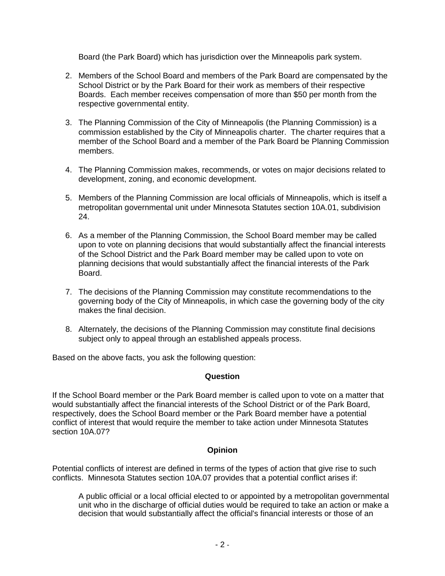Board (the Park Board) which has jurisdiction over the Minneapolis park system.

- 2. Members of the School Board and members of the Park Board are compensated by the School District or by the Park Board for their work as members of their respective Boards. Each member receives compensation of more than \$50 per month from the respective governmental entity.
- 3. The Planning Commission of the City of Minneapolis (the Planning Commission) is a commission established by the City of Minneapolis charter. The charter requires that a member of the School Board and a member of the Park Board be Planning Commission members.
- 4. The Planning Commission makes, recommends, or votes on major decisions related to development, zoning, and economic development.
- 5. Members of the Planning Commission are local officials of Minneapolis, which is itself a metropolitan governmental unit under Minnesota Statutes section 10A.01, subdivision 24.
- 6. As a member of the Planning Commission, the School Board member may be called upon to vote on planning decisions that would substantially affect the financial interests of the School District and the Park Board member may be called upon to vote on planning decisions that would substantially affect the financial interests of the Park Board.
- 7. The decisions of the Planning Commission may constitute recommendations to the governing body of the City of Minneapolis, in which case the governing body of the city makes the final decision.
- 8. Alternately, the decisions of the Planning Commission may constitute final decisions subject only to appeal through an established appeals process.

Based on the above facts, you ask the following question:

## **Question**

If the School Board member or the Park Board member is called upon to vote on a matter that would substantially affect the financial interests of the School District or of the Park Board, respectively, does the School Board member or the Park Board member have a potential conflict of interest that would require the member to take action under Minnesota Statutes section 10A.07?

## **Opinion**

Potential conflicts of interest are defined in terms of the types of action that give rise to such conflicts. Minnesota Statutes section 10A.07 provides that a potential conflict arises if:

A public official or a local official elected to or appointed by a metropolitan governmental unit who in the discharge of official duties would be required to take an action or make a decision that would substantially affect the official's financial interests or those of an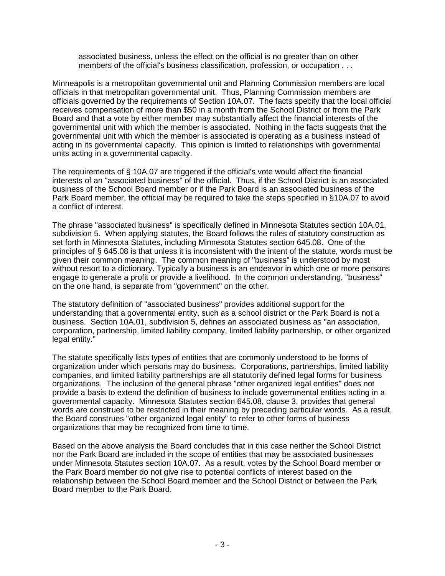associated business, unless the effect on the official is no greater than on other members of the official's business classification, profession, or occupation . . .

Minneapolis is a metropolitan governmental unit and Planning Commission members are local officials in that metropolitan governmental unit. Thus, Planning Commission members are officials governed by the requirements of Section 10A.07. The facts specify that the local official receives compensation of more than \$50 in a month from the School District or from the Park Board and that a vote by either member may substantially affect the financial interests of the governmental unit with which the member is associated. Nothing in the facts suggests that the governmental unit with which the member is associated is operating as a business instead of acting in its governmental capacity. This opinion is limited to relationships with governmental units acting in a governmental capacity.

The requirements of § 10A.07 are triggered if the official's vote would affect the financial interests of an "associated business" of the official. Thus, if the School District is an associated business of the School Board member or if the Park Board is an associated business of the Park Board member, the official may be required to take the steps specified in §10A.07 to avoid a conflict of interest.

The phrase "associated business" is specifically defined in Minnesota Statutes section 10A.01, subdivision 5. When applying statutes, the Board follows the rules of statutory construction as set forth in Minnesota Statutes, including Minnesota Statutes section 645.08. One of the principles of § 645.08 is that unless it is inconsistent with the intent of the statute, words must be given their common meaning. The common meaning of "business" is understood by most without resort to a dictionary. Typically a business is an endeavor in which one or more persons engage to generate a profit or provide a livelihood. In the common understanding, "business" on the one hand, is separate from "government" on the other.

The statutory definition of "associated business" provides additional support for the understanding that a governmental entity, such as a school district or the Park Board is not a business. Section 10A.01, subdivision 5, defines an associated business as "an association, corporation, partnership, limited liability company, limited liability partnership, or other organized legal entity."

The statute specifically lists types of entities that are commonly understood to be forms of organization under which persons may do business. Corporations, partnerships, limited liability companies, and limited liability partnerships are all statutorily defined legal forms for business organizations. The inclusion of the general phrase "other organized legal entities" does not provide a basis to extend the definition of business to include governmental entities acting in a governmental capacity. Minnesota Statutes section 645.08, clause 3, provides that general words are construed to be restricted in their meaning by preceding particular words. As a result, the Board construes "other organized legal entity" to refer to other forms of business organizations that may be recognized from time to time.

Based on the above analysis the Board concludes that in this case neither the School District nor the Park Board are included in the scope of entities that may be associated businesses under Minnesota Statutes section 10A.07. As a result, votes by the School Board member or the Park Board member do not give rise to potential conflicts of interest based on the relationship between the School Board member and the School District or between the Park Board member to the Park Board.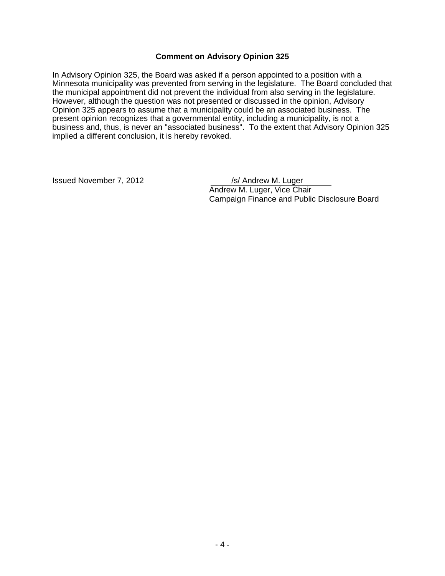#### **Comment on Advisory Opinion 325**

In Advisory Opinion 325, the Board was asked if a person appointed to a position with a Minnesota municipality was prevented from serving in the legislature. The Board concluded that the municipal appointment did not prevent the individual from also serving in the legislature. However, although the question was not presented or discussed in the opinion, Advisory Opinion 325 appears to assume that a municipality could be an associated business. The present opinion recognizes that a governmental entity, including a municipality, is not a business and, thus, is never an "associated business". To the extent that Advisory Opinion 325 implied a different conclusion, it is hereby revoked.

Issued November 7, 2012 /s/ Andrew M. Luger Andrew M. Luger, Vice Chair Campaign Finance and Public Disclosure Board